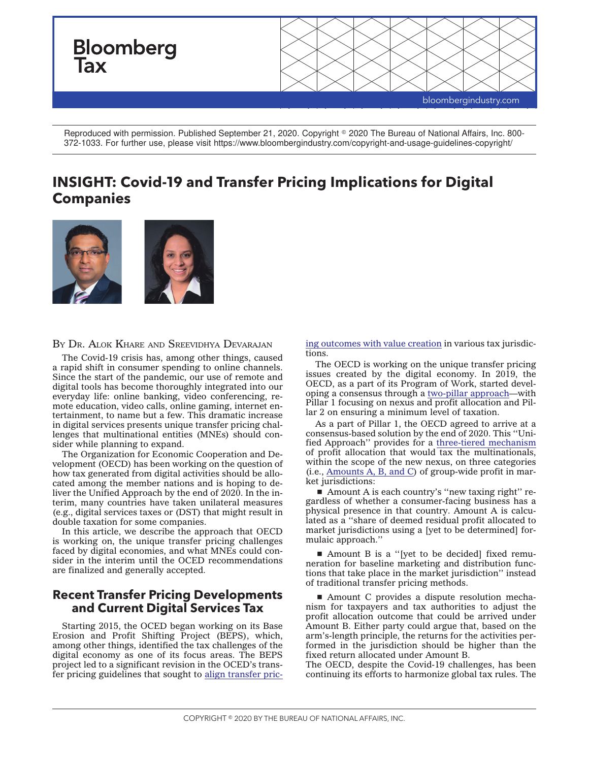

Reproduced with permission. Published September 21, 2020. Copyright © 2020 The Bureau of National Affairs, Inc. 800-372-1033. For further use, please visit https://www.bloombergindustry.com/copyright-and-usage-guidelines-copyright/

# **INSIGHT: Covid-19 and Transfer Pricing Implications for Digital Companies**



B<sup>Y</sup> DR. ALOK KHARE AND SREEVIDHYA DEVARAJAN

The Covid-19 crisis has, among other things, caused a rapid shift in consumer spending to online channels. Since the start of the pandemic, our use of remote and digital tools has become thoroughly integrated into our everyday life: online banking, video conferencing, remote education, video calls, online gaming, internet entertainment, to name but a few. This dramatic increase in digital services presents unique transfer pricing challenges that multinational entities (MNEs) should consider while planning to expand.

The Organization for Economic Cooperation and Development (OECD) has been working on the question of how tax generated from digital activities should be allocated among the member nations and is hoping to deliver the Unified Approach by the end of 2020. In the interim, many countries have taken unilateral measures (e.g., digital services taxes or (DST) that might result in double taxation for some companies.

In this article, we describe the approach that OECD is working on, the unique transfer pricing challenges faced by digital economies, and what MNEs could consider in the interim until the OCED recommendations are finalized and generally accepted.

# **Recent Transfer Pricing Developments and Current Digital Services Tax**

Starting 2015, the OCED began working on its Base Erosion and Profit Shifting Project (BEPS), which, among other things, identified the tax challenges of the digital economy as one of its focus areas. The BEPS project led to a significant revision in the OCED's transfer pricing guidelines that sought to [align transfer pric-](https://www.oecd.org/tax/aligning-transfer-pricing-outcomes-with-value-creation-actions-8-10-2015-final-reports-9789264241244-en.htm) [ing outcomes with value creation](https://www.oecd.org/tax/aligning-transfer-pricing-outcomes-with-value-creation-actions-8-10-2015-final-reports-9789264241244-en.htm) in various tax jurisdictions.

The OECD is working on the unique transfer pricing issues created by the digital economy. In 2019, the OECD, as a part of its Program of Work, started developing a consensus through a [two-pillar approach—](https://www.oecd.org/tax/beps/programme-of-work-to-develop-a-consensus-solution-to-the-tax-challenges-arising-from-the-digitalisation-of-the-economy.htm)with Pillar 1 focusing on nexus and profit allocation and Pillar 2 on ensuring a minimum level of taxation.

As a part of Pillar 1, the OECD agreed to arrive at a consensus-based solution by the end of 2020. This ''Unified Approach'' provides for a [three-tiered mechanism](https://www.forbes.com/sites/taxnotes/2019/11/08/interview-ey-tax-leader-takes-a-closer-look-at-oecd-pillar-1-proposal/#726b7ccf839e) of profit allocation that would tax the multinationals, within the scope of the new nexus, on three categories (i.e., [Amounts A, B, and C\)](https://www.oecd.org/tax/beps/public-consultation-document-secretariat-proposal-unified-approach-pillar-one.pdf) of group-wide profit in market jurisdictions:

 $\blacksquare$  Amount A is each country's "new taxing right" regardless of whether a consumer-facing business has a physical presence in that country. Amount A is calculated as a ''share of deemed residual profit allocated to market jurisdictions using a [yet to be determined] formulaic approach.''

■ Amount B is a "[yet to be decided] fixed remuneration for baseline marketing and distribution functions that take place in the market jurisdiction'' instead of traditional transfer pricing methods.

■ Amount C provides a dispute resolution mechanism for taxpayers and tax authorities to adjust the profit allocation outcome that could be arrived under Amount B. Either party could argue that, based on the arm's-length principle, the returns for the activities performed in the jurisdiction should be higher than the fixed return allocated under Amount B.

The OECD, despite the Covid-19 challenges, has been continuing its efforts to harmonize global tax rules. The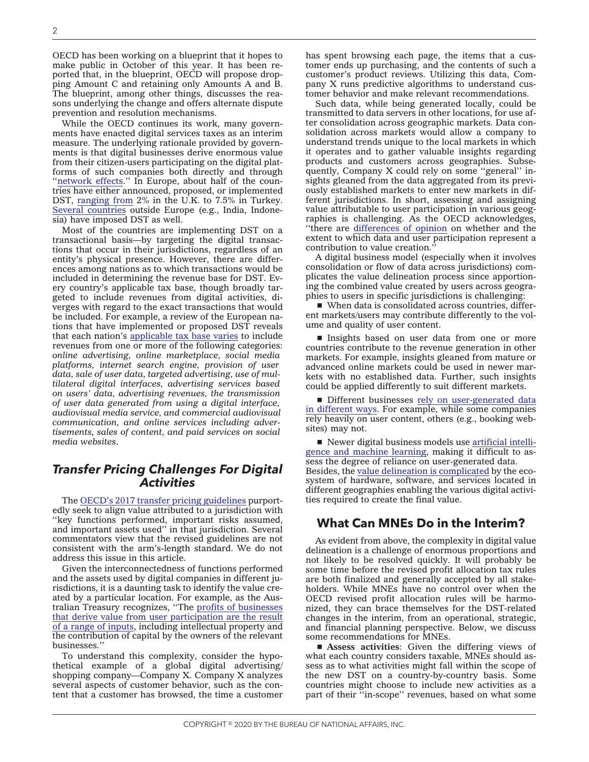OECD has been working on a blueprint that it hopes to make public in October of this year. It has been reported that, in the blueprint, OECD will propose dropping Amount C and retaining only Amounts A and B. The blueprint, among other things, discusses the reasons underlying the change and offers alternate dispute prevention and resolution mechanisms.

While the OECD continues its work, many governments have enacted digital services taxes as an interim measure. The underlying rationale provided by governments is that digital businesses derive enormous value from their citizen-users participating on the digital platforms of such companies both directly and through "network effects." In Europe, about half of the countries have either announced, proposed, or implemented DST, [ranging from](https://taxfoundation.org/digital-tax-europe-2020/) 2% in the U.K. to 7.5% in Turkey. [Several countries](https://tax.kpmg.us/content/dam/tax/en/pdfs/2020/digitalized-economy-taxation-developments-summary.pdf) outside Europe (e.g., India, Indonesia) have imposed DST as well.

Most of the countries are implementing DST on a transactional basis—by targeting the digital transactions that occur in their jurisdictions, regardless of an entity's physical presence. However, there are differences among nations as to which transactions would be included in determining the revenue base for DST. Every country's applicable tax base, though broadly targeted to include revenues from digital activities, diverges with regard to the exact transactions that would be included. For example, a review of the European nations that have implemented or proposed DST reveals that each nation's [applicable tax base varies](https://tax.kpmg.us/content/dam/tax/en/pdfs/2020/digitalized-economy-taxation-developments-summary.pdf) to include revenues from one or more of the following categories: *online advertising, online marketplace, social media platforms, internet search engine, provision of user data, sale of user data, targeted advertising, use of multilateral digital interfaces, advertising services based on users' data, advertising revenues, the transmission of user data generated from using a digital interface, audiovisual media service, and commercial audiovisual communication, and online services including advertisements, sales of content, and paid services on social media websites*.

# *Transfer Pricing Challenges For Digital Activities*

The [OECD's 2017 transfer pricing guidelines](https://www.oecd.org/tax/transfer-pricing/oecd-transfer-pricing-guidelines-for-multinational-enterprises-and-tax-administrations-20769717.htm) purportedly seek to align value attributed to a jurisdiction with ''key functions performed, important risks assumed, and important assets used'' in that jurisdiction. Several commentators view that the revised guidelines are not consistent with the arm's-length standard. We do not address this issue in this article.

Given the interconnectedness of functions performed and the assets used by digital companies in different jurisdictions, it is a daunting task to identify the value created by a particular location. For example, as the Australian Treasury recognizes, ''The [profits of businesses](https://treasury.gov.au/sites/default/files/2019-03/c2018-t306182-discussion-paper-1.pdf) [that derive value from user participation are the result](https://treasury.gov.au/sites/default/files/2019-03/c2018-t306182-discussion-paper-1.pdf) [of a range of inputs,](https://treasury.gov.au/sites/default/files/2019-03/c2018-t306182-discussion-paper-1.pdf) including intellectual property and the contribution of capital by the owners of the relevant businesses.''

To understand this complexity, consider the hypothetical example of a global digital advertising/ shopping company—Company X. Company X analyzes several aspects of customer behavior, such as the content that a customer has browsed, the time a customer has spent browsing each page, the items that a customer ends up purchasing, and the contents of such a customer's product reviews. Utilizing this data, Company X runs predictive algorithms to understand customer behavior and make relevant recommendations.

Such data, while being generated locally, could be transmitted to data servers in other locations, for use after consolidation across geographic markets. Data consolidation across markets would allow a company to understand trends unique to the local markets in which it operates and to gather valuable insights regarding products and customers across geographies. Subsequently, Company X could rely on some ''general'' insights gleaned from the data aggregated from its previously established markets to enter new markets in different jurisdictions. In short, assessing and assigning value attributable to user participation in various geographies is challenging. As the OECD acknowledges, ''there are [differences of opinion](https://www.oecd.org/tax/tax-challenges-arising-from-digitalisation-interim-report-9789264293083-en.htm) on whether and the extent to which data and user participation represent a contribution to value creation.''

A digital business model (especially when it involves consolidation or flow of data across jurisdictions) complicates the value delineation process since apportioning the combined value created by users across geographies to users in specific jurisdictions is challenging:

 $\blacksquare$  When data is consolidated across countries, different markets/users may contribute differently to the volume and quality of user content.

Insights based on user data from one or more countries contribute to the revenue generation in other markets. For example, insights gleaned from mature or advanced online markets could be used in newer markets with no established data. Further, such insights could be applied differently to suit different markets.

Different businesses [rely on user-generated data](https://treasury.gov.au/sites/default/files/2019-03/c2018-t306182-discussion-paper-1.pdf) [in different ways.](https://treasury.gov.au/sites/default/files/2019-03/c2018-t306182-discussion-paper-1.pdf) For example, while some companies rely heavily on user content, others (e.g., booking websites) may not.

 $\blacksquare$  Newer digital business models use [artificial intelli](https://treasury.gov.au/sites/default/files/2019-03/c2018-t306182-discussion-paper-1.pdf)[gence and machine learning,](https://treasury.gov.au/sites/default/files/2019-03/c2018-t306182-discussion-paper-1.pdf) making it difficult to assess the degree of reliance on user-generated data. Besides, the [value delineation is complicated](https://news.bloombergtax.com/daily-tax-report/insight-transfer-pricing-challenges-in-the-digital-economy-part-2-a-case-study-of-the-internet-of-things) by the ecosystem of hardware, software, and services located in different geographies enabling the various digital activities required to create the final value.

## **What Can MNEs Do in the Interim?**

As evident from above, the complexity in digital value delineation is a challenge of enormous proportions and not likely to be resolved quickly. It will probably be some time before the revised profit allocation tax rules are both finalized and generally accepted by all stakeholders. While MNEs have no control over when the OECD revised profit allocation rules will be harmonized, they can brace themselves for the DST-related changes in the interim, from an operational, strategic, and financial planning perspective. Below, we discuss some recommendations for MNEs.

**Example 3 Assess activities:** Given the differing views of what each country considers taxable, MNEs should assess as to what activities might fall within the scope of the new DST on a country-by-country basis. Some countries might choose to include new activities as a part of their ''in-scope'' revenues, based on what some